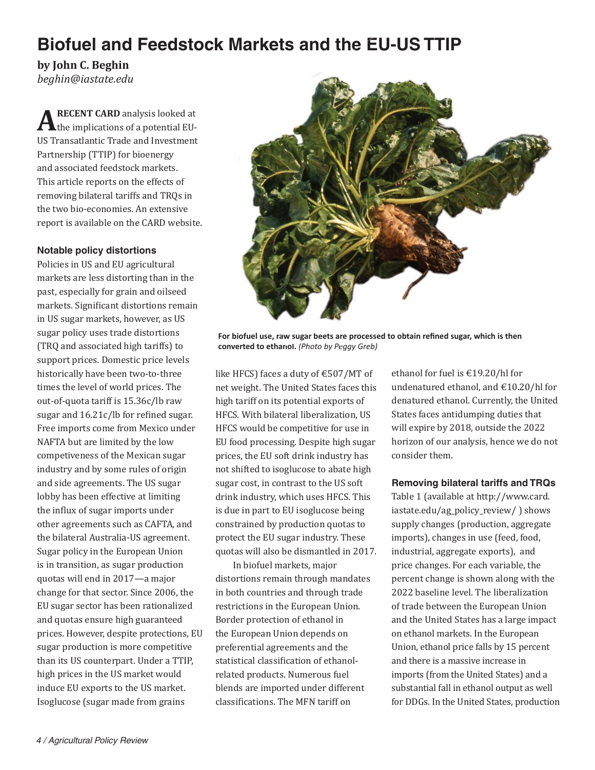## **Biofuel and Feedstock Markets and the EU-US TTIP e**

**by John C. Beghin**

*beghin@iastate.edu*

**A RECENT CARD** analysis looked at the implications of a potential EU-US Transatlantic Trade and Investment Partnership (TTIP) for bioenergy and associated feedstock markets. and associated feedstock markets.<br>This article reports on the effects of removing bilateral tariffs and TRQs in the two bio-economies. An extensive report is available on the CARD website.

## **Notable policy distortions**

Policies in US and EU agricultural markets are less distorting than in the past, especially for grain and oilseed markets. Significant distortions remain in US sugar markets, however, as US sugar policy uses trade distortions (TRQ and associated high tariffs) to support prices. Domestic price levels historically have been two-to-three times the level of world prices. The out-of-quota tariff is 15.36c/lb raw sugar and  $16.21c/lb$  for refined sugar. Free imports come from Mexico under NAFTA but are limited by the low competiveness of the Mexican sugar industry and by some rules of origin and side agreements. The US sugar lobby has been effective at limiting the influx of sugar imports under other agreements such as CAFTA, and the bilateral Australia-US agreement. Sugar policy in the European Union is in transition, as sugar production quotas will end in 2017—a major change for that sector. Since 2006, the EU sugar sector has been rationalized and quotas ensure high guaranteed prices. However, despite protections, EU sugar production is more competitive than its US counterpart. Under a TTIP, high prices in the US market would induce EU exports to the US market. Isoglucose (sugar made from grains



For biofuel use, raw sugar beets are processed to obtain refined sugar, which is then **converted to ethanol.** *(Photo by Peggy Greb)* **nol.** *by Peg*

like HFCS) faces a duty of  $\text{\textsterling}507/MT$  of net weight. The United States faces this high tariff on its potential exports of HFCS. With bilateral liberalization, US HFCS would be competitive for use in EU food processing. Despite high sugar prices, the EU soft drink industry has not shifted to isoglucose to abate high sugar cost, in contrast to the US soft drink industry, which uses HFCS. This is due in part to EU isoglucose being constrained by production quotas to protect the EU sugar industry. These quotas will also be dismantled in 2017.

In biofuel markets, major distortions remain through mandates in both countries and through trade restrictions in the European Union. Border protection of ethanol in the European Union depends on preferential agreements and the statistical classification of ethanolrelated products. Numerous fuel blends are imported under different classifications. The MFN tariff on

ethanol for fuel is €19.20/hl for undenatured ethanol, and €10.20/hl for denatured ethanol. Currently, the United States faces antidumping duties that will expire by 2018, outside the 2022 horizon of our analysis, hence we do not consider them.

## **Removing bilateral tariffs and TRQs**

Table 1 (available at http://www.card. iastate.edu/ag\_policy\_review/ ) shows supply changes (production, aggregate imports), changes in use (feed, food, industrial, aggregate exports), and price changes. For each variable, the percent change is shown along with the 2022 baseline level. The liberalization of trade between the European Union and the United States has a large impact on ethanol markets. In the European Union, ethanol price falls by 15 percent and there is a massive increase in imports (from the United States) and a substantial fall in ethanol output as well for DDGs. In the United States, production